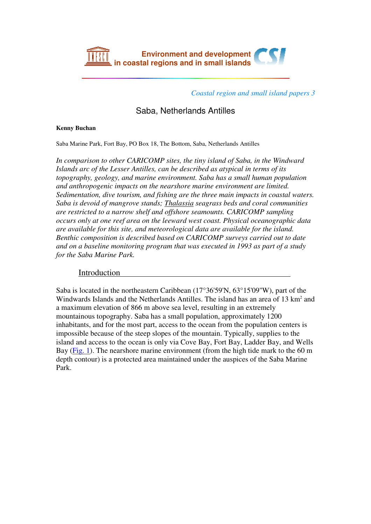

*Coastal region and small island papers 3*

Saba, Netherlands Antilles

## **Kenny Buchan**

Saba Marine Park, Fort Bay, PO Box 18, The Bottom, Saba, Netherlands Antilles

*In comparison to other CARICOMP sites, the tiny island of Saba, in the Windward Islands arc of the Lesser Antilles, can be described as atypical in terms of its topography, geology, and marine environment. Saba has a small human population and anthropogenic impacts on the nearshore marine environment are limited. Sedimentation, dive tourism, and fishing are the three main impacts in coastal waters. Saba is devoid of mangrove stands; Thalassia seagrass beds and coral communities are restricted to a narrow shelf and offshore seamounts. CARICOMP sampling occurs only at one reef area on the leeward west coast. Physical oceanographic data are available for this site, and meteorological data are available for the island. Benthic composition is described based on CARICOMP surveys carried out to date and on a baseline monitoring program that was executed in 1993 as part of a study for the Saba Marine Park.*

## **Introduction**

Saba is located in the northeastern Caribbean (17°36'59'N, 63°15'09''W), part of the Windwards Islands and the Netherlands Antilles. The island has an area of  $13 \text{ km}^2$  and a maximum elevation of 866 m above sea level, resulting in an extremely mountainous topography. Saba has a small population, approximately 1200 inhabitants, and for the most part, access to the ocean from the population centers is impossible because of the steep slopes of the mountain. Typically, supplies to the island and access to the ocean is only via Cove Bay, Fort Bay, Ladder Bay, and Wells Bay (Fig. 1). The nearshore marine environment (from the high tide mark to the 60 m depth contour) is a protected area maintained under the auspices of the Saba Marine Park.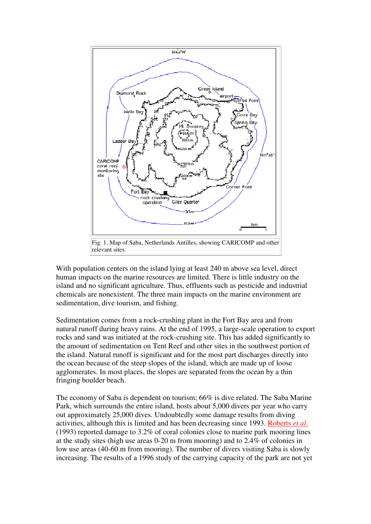

With population centers on the island lying at least 240 m above sea level, direct human impacts on the marine resources are limited. There is little industry on the island and no significant agriculture. Thus, effluents such as pesticide and industrial chemicals are nonexistent. The three main impacts on the marine environment are sedimentation, dive tourism, and fishing.

Sedimentation comes from a rock-crushing plant in the Fort Bay area and from natural runoff during heavy rains. At the end of 1995, a large-scale operation to export rocks and sand was initiated at the rock-crushing site. This has added significantly to the amount of sedimentation on Tent Reef and other sites in the southwest portion of the island. Natural runoff is significant and for the most part discharges directly into the ocean because of the steep slopes of the island, which are made up of loose agglomerates. In most places, the slopes are separated from the ocean by a thin fringing boulder beach.

The economy of Saba is dependent on tourism; 66% is dive related. The Saba Marine Park, which surrounds the entire island, hosts about 5,000 divers per year who carry out approximately 25,000 dives. Undoubtedly some damage results from diving activities, although this is limited and has been decreasing since 1993. Roberts *et al*. (1993) reported damage to 3.2% of coral colonies close to marine park mooring lines at the study sites (high use areas 0-20 m from mooring) and to 2.4% of colonies in low use areas (40-60 m from mooring). The number of divers visiting Saba is slowly increasing. The results of a 1996 study of the carrying capacity of the park are not yet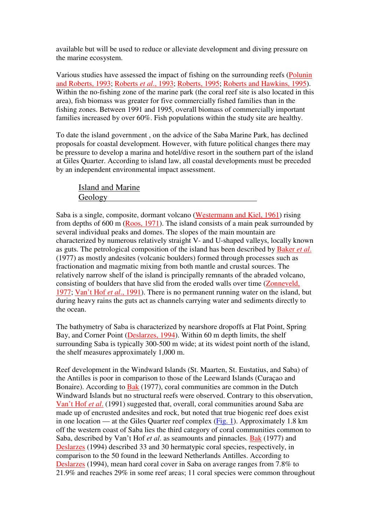available but will be used to reduce or alleviate development and diving pressure on the marine ecosystem.

Various studies have assessed the impact of fishing on the surrounding reefs (Polunin and Roberts, 1993; Roberts *et al*., 1993; Roberts, 1995; Roberts and Hawkins, 1995). Within the no-fishing zone of the marine park (the coral reef site is also located in this area), fish biomass was greater for five commercially fished families than in the fishing zones. Between 1991 and 1995, overall biomass of commercially important families increased by over 60%. Fish populations within the study site are healthy.

To date the island government , on the advice of the Saba Marine Park, has declined proposals for coastal development. However, with future political changes there may be pressure to develop a marina and hotel/dive resort in the southern part of the island at Giles Quarter. According to island law, all coastal developments must be preceded by an independent environmental impact assessment.

Island and Marine Geology

Saba is a single, composite, dormant volcano (Westermann and Kiel, 1961) rising from depths of 600 m (Roos, 1971). The island consists of a main peak surrounded by several individual peaks and domes. The slopes of the main mountain are characterized by numerous relatively straight V- and U-shaped valleys, locally known as guts. The petrological composition of the island has been described by Baker *et al*. (1977) as mostly andesites (volcanic boulders) formed through processes such as fractionation and magmatic mixing from both mantle and crustal sources. The relatively narrow shelf of the island is principally remnants of the abraded volcano, consisting of boulders that have slid from the eroded walls over time (Zonneveld, 1977; Van't Hof *et al*., 1991). There is no permanent running water on the island, but during heavy rains the guts act as channels carrying water and sediments directly to the ocean.

The bathymetry of Saba is characterized by nearshore dropoffs at Flat Point, Spring Bay, and Corner Point (Deslarzes, 1994). Within 60 m depth limits, the shelf surrounding Saba is typically 300-500 m wide; at its widest point north of the island, the shelf measures approximately 1,000 m.

Reef development in the Windward Islands (St. Maarten, St. Eustatius, and Saba) of the Antilles is poor in comparison to those of the Leeward Islands (Curaçao and Bonaire). According to Bak (1977), coral communities are common in the Dutch Windward Islands but no structural reefs were observed. Contrary to this observation, Van't Hof *et al*. (1991) suggested that, overall, coral communities around Saba are made up of encrusted andesites and rock, but noted that true biogenic reef does exist in one location — at the Giles Quarter reef complex (Fig. 1). Approximately 1.8 km off the western coast of Saba lies the third category of coral communities common to Saba, described by Van't Hof *et al.* as seamounts and pinnacles. **Bak** (1977) and Deslarzes (1994) described 33 and 30 hermatypic coral species, respectively, in comparison to the 50 found in the leeward Netherlands Antilles. According to Deslarzes (1994), mean hard coral cover in Saba on average ranges from 7.8% to 21.9% and reaches 29% in some reef areas; 11 coral species were common throughout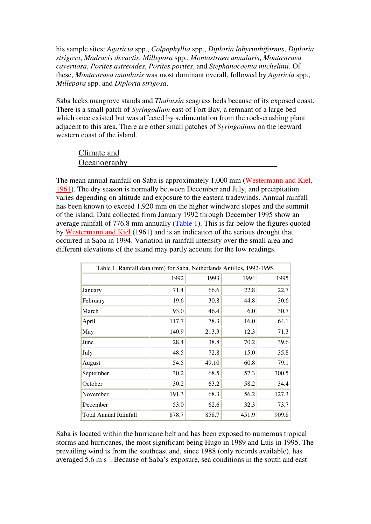his sample sites: *Agaricia* spp., *Colpophyllia* spp., *Diploria labyrinthiformis*, *Diploria strigosa*, *Madracis decactis*, *Millepora* spp., *Montastraea annularis*, *Montastraea cavernosa*, *Porites astreoides*, *Porites porites*, and *Stephanocoenia michelinii*. Of these, *Montastraea annularis* was most dominant overall, followed by *Agaricia* spp., *Millepora* spp. and *Diploria strigosa*.

Saba lacks mangrove stands and *Thalassia* seagrass beds because of its exposed coast. There is a small patch of *Syringodium* east of Fort Bay, a remnant of a large bed which once existed but was affected by sedimentation from the rock-crushing plant adjacent to this area. There are other small patches of *Syringodium* on the leeward western coast of the island.

| Climate and  |  |  |
|--------------|--|--|
| Oceanography |  |  |

The mean annual rainfall on Saba is approximately 1,000 mm (Westermann and Kiel, 1961). The dry season is normally between December and July, and precipitation varies depending on altitude and exposure to the eastern tradewinds. Annual rainfall has been known to exceed 1,920 mm on the higher windward slopes and the summit of the island. Data collected from January 1992 through December 1995 show an average rainfall of 776.8 mm annually  $(Table 1)$ . This is far below the figures quoted by Westermann and Kiel (1961) and is an indication of the serious drought that occurred in Saba in 1994. Variation in rainfall intensity over the small area and different elevations of the island may partly account for the low readings.

| Table 1. Rainfall data (mm) for Saba, Netherlands Antilles, 1992-1995. |       |       |       |       |  |
|------------------------------------------------------------------------|-------|-------|-------|-------|--|
|                                                                        | 1992  | 1993  | 1994  | 1995  |  |
| January                                                                | 71.4  | 66.6  | 22.8  | 22.7  |  |
| February                                                               | 19.6  | 30.8  | 44.8  | 30.6  |  |
| March                                                                  | 93.0  | 46.4  | 6.0   | 30.7  |  |
| April                                                                  | 117.7 | 78.3  | 16.0  | 64.1  |  |
| May                                                                    | 140.9 | 213.3 | 12.3  | 71.3  |  |
| June                                                                   | 28.4  | 38.8  | 70.2  | 39.6  |  |
| July                                                                   | 48.5  | 72.8  | 15.0  | 35.8  |  |
| August                                                                 | 54.5  | 49.10 | 60.8  | 79.1  |  |
| September                                                              | 30.2  | 68.5  | 57.3  | 300.5 |  |
| October                                                                | 30.2  | 63.2  | 58.2  | 34.4  |  |
| November                                                               | 191.3 | 68.3  | 56.2  | 127.3 |  |
| December                                                               | 53.0  | 62.6  | 32.3  | 73.7  |  |
| Total Annual Rainfall                                                  | 878.7 | 858.7 | 451.9 | 909.8 |  |

Saba is located within the hurricane belt and has been exposed to numerous tropical storms and hurricanes, the most significant being Hugo in 1989 and Luis in 1995. The prevailing wind is from the southeast and, since 1988 (only records available), has averaged  $5.6 \text{ m s}^{-1}$ . Because of Saba's exposure, sea conditions in the south and east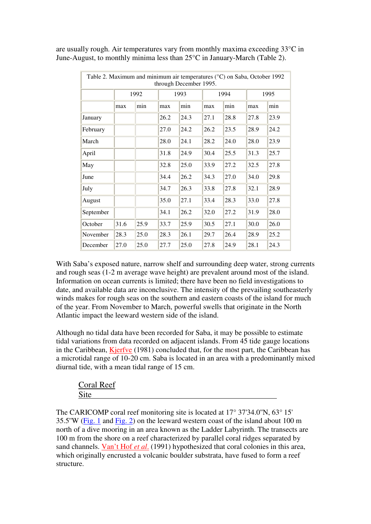are usually rough. Air temperatures vary from monthly maxima exceeding 33°C in June-August, to monthly minima less than 25°C in January-March (Table 2).

| Table 2. Maximum and minimum air temperatures (°C) on Saba, October 1992<br>through December 1995. |      |      |      |      |      |      |      |      |
|----------------------------------------------------------------------------------------------------|------|------|------|------|------|------|------|------|
|                                                                                                    | 1992 |      | 1993 |      | 1994 |      | 1995 |      |
|                                                                                                    | max  | min  | max  | min  | max  | min  | max  | min  |
| January                                                                                            |      |      | 26.2 | 24.3 | 27.1 | 28.8 | 27.8 | 23.9 |
| February                                                                                           |      |      | 27.0 | 24.2 | 26.2 | 23.5 | 28.9 | 24.2 |
| March                                                                                              |      |      | 28.0 | 24.1 | 28.2 | 24.0 | 28.0 | 23.9 |
| April                                                                                              |      |      | 31.8 | 24.9 | 30.4 | 25.5 | 31.3 | 25.7 |
| May                                                                                                |      |      | 32.8 | 25.0 | 33.9 | 27.2 | 32.5 | 27.8 |
| June                                                                                               |      |      | 34.4 | 26.2 | 34.3 | 27.0 | 34.0 | 29.8 |
| July                                                                                               |      |      | 34.7 | 26.3 | 33.8 | 27.8 | 32.1 | 28.9 |
| August                                                                                             |      |      | 35.0 | 27.1 | 33.4 | 28.3 | 33.0 | 27.8 |
| September                                                                                          |      |      | 34.1 | 26.2 | 32.0 | 27.2 | 31.9 | 28.0 |
| October                                                                                            | 31.6 | 25.9 | 33.7 | 25.9 | 30.5 | 27.1 | 30.0 | 26.0 |
| November                                                                                           | 28.3 | 25.0 | 28.3 | 26.1 | 29.7 | 26.4 | 28.9 | 25.2 |
| December                                                                                           | 27.0 | 25.0 | 27.7 | 25.0 | 27.8 | 24.9 | 28.1 | 24.3 |

With Saba's exposed nature, narrow shelf and surrounding deep water, strong currents and rough seas (1-2 m average wave height) are prevalent around most of the island. Information on ocean currents is limited; there have been no field investigations to date, and available data are inconclusive. The intensity of the prevailing southeasterly winds makes for rough seas on the southern and eastern coasts of the island for much of the year. From November to March, powerful swells that originate in the North Atlantic impact the leeward western side of the island.

Although no tidal data have been recorded for Saba, it may be possible to estimate tidal variations from data recorded on adjacent islands. From 45 tide gauge locations in the Caribbean, Kjerfve (1981) concluded that, for the most part, the Caribbean has a microtidal range of 10-20 cm. Saba is located in an area with a predominantly mixed diurnal tide, with a mean tidal range of 15 cm.

| <b>Coral Reef</b>              |  |  |
|--------------------------------|--|--|
| .11 <sub>D</sub><br>$\cup$ ill |  |  |
|                                |  |  |

The CARICOMP coral reef monitoring site is located at 17° 37'34.0''N, 63° 15' 35.5''W (Fig. 1 and Fig. 2) on the leeward western coast of the island about 100 m north of a dive mooring in an area known as the Ladder Labyrinth. The transects are 100 m from the shore on a reef characterized by parallel coral ridges separated by sand channels. Van't Hof *et al*. (1991) hypothesized that coral colonies in this area, which originally encrusted a volcanic boulder substrata, have fused to form a reef structure.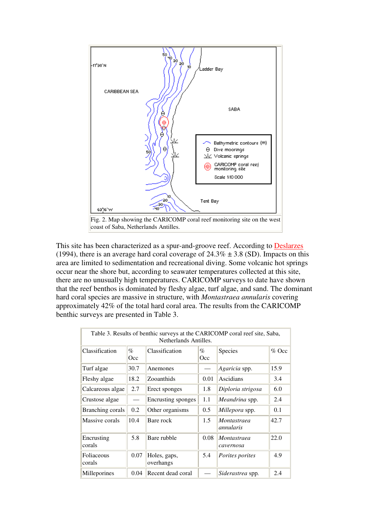

This site has been characterized as a spur-and-groove reef. According to **Deslarzes** (1994), there is an average hard coral coverage of  $24.3\% \pm 3.8$  (SD). Impacts on this area are limited to sedimentation and recreational diving. Some volcanic hot springs occur near the shore but, according to seawater temperatures collected at this site, there are no unusually high temperatures. CARICOMP surveys to date have shown that the reef benthos is dominated by fleshy algae, turf algae, and sand. The dominant hard coral species are massive in structure, with *Montastraea annularis* covering approximately 42% of the total hard coral area. The results from the CARICOMP benthic surveys are presented in Table 3.

| Table 3. Results of benthic surveys at the CARICOMP coral reef site, Saba,<br>Netherlands Antilles. |                                    |                           |             |                          |         |
|-----------------------------------------------------------------------------------------------------|------------------------------------|---------------------------|-------------|--------------------------|---------|
| Classification                                                                                      | $\mathcal{O}_{\mathcal{O}}$<br>Occ | Classification            | $\%$<br>Occ | Species                  | $%$ Occ |
| Turf algae                                                                                          | 30.7                               | Anemones                  |             | Agaricia spp.            | 15.9    |
| Fleshy algae                                                                                        | 18.2                               | Zooanthids                | 0.01        | Ascidians                | 3.4     |
| Calcareous algae                                                                                    | 2.7                                | Erect sponges             | 1.8         | Diploria strigosa        | 6.0     |
| Crustose algae                                                                                      | $\overline{\phantom{0}}$           | <b>Encrusting sponges</b> | 1.1         | Meandrina spp.           | 2.4     |
| Branching corals                                                                                    | 0.2                                | Other organisms           | 0.5         | Millepora spp.           | 0.1     |
| Massive corals                                                                                      | 10.4                               | Bare rock                 | 1.5         | Montastraea<br>annularis | 42.7    |
| Encrusting<br>corals                                                                                | 5.8                                | Bare rubble               | 0.08        | Montastraea<br>cavernosa | 22.0    |
| Foliaceous<br>corals                                                                                | 0.07                               | Holes, gaps,<br>overhangs | 5.4         | Porites porites          | 4.9     |
| Milleporines                                                                                        | 0.04                               | Recent dead coral         |             | Siderastrea spp.         | 2.4     |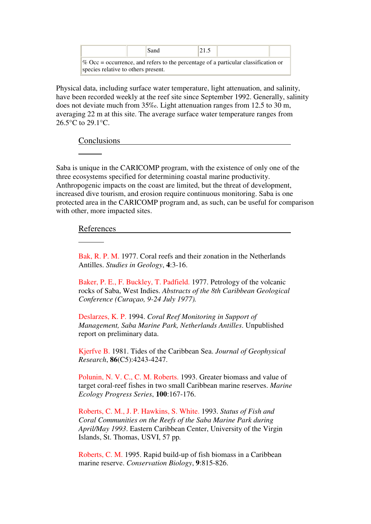|                                                                                       | Sand | 21.5 |  |  |
|---------------------------------------------------------------------------------------|------|------|--|--|
| $\%$ Occ = occurrence, and refers to the percentage of a particular classification or |      |      |  |  |
| species relative to others present.                                                   |      |      |  |  |

Physical data, including surface water temperature, light attenuation, and salinity, have been recorded weekly at the reef site since September 1992. Generally, salinity does not deviate much from 35‰. Light attenuation ranges from 12.5 to 30 m, averaging 22 m at this site. The average surface water temperature ranges from 26.5°C to 29.1°C.

Conclusions

ı

 $\overline{a}$ 

Saba is unique in the CARICOMP program, with the existence of only one of the three ecosystems specified for determining coastal marine productivity. Anthropogenic impacts on the coast are limited, but the threat of development, increased dive tourism, and erosion require continuous monitoring. Saba is one protected area in the CARICOMP program and, as such, can be useful for comparison with other, more impacted sites.

## References

Bak, R. P. M. 1977. Coral reefs and their zonation in the Netherlands Antilles. *Studies in Geology*, **4**:3-16.

Baker, P. E., F. Buckley, T. Padfield. 1977. Petrology of the volcanic rocks of Saba, West Indies. *Abstracts of the 8th Caribbean Geological Conference (Curaçao, 9-24 July 1977).*

Deslarzes, K. P. 1994. *Coral Reef Monitoring in Support of Management, Saba Marine Park, Netherlands Antilles*. Unpublished report on preliminary data.

Kjerfve B. 1981. Tides of the Caribbean Sea. *Journal of Geophysical Research*, **86**(C5):4243-4247.

Polunin, N. V. C., C. M. Roberts. 1993. Greater biomass and value of target coral-reef fishes in two small Caribbean marine reserves. *Marine Ecology Progress Series*, **100**:167-176.

Roberts, C. M., J. P. Hawkins, S. White. 1993. *Status of Fish and Coral Communities on the Reefs of the Saba Marine Park during April/May 1993*. Eastern Caribbean Center, University of the Virgin Islands, St. Thomas, USVI, 57 pp*.*

Roberts, C. M. 1995. Rapid build-up of fish biomass in a Caribbean marine reserve. *Conservation Biology*, **9**:815-826.